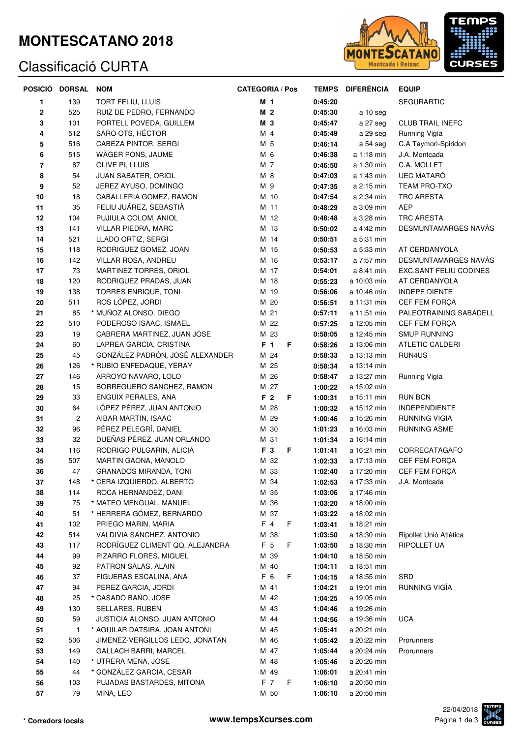### **MONTESCATANO 2018**

#### Classificació CURTA



| POSICIÓ  | <b>DORSAL</b>  | <b>NOM</b>                                                   | <b>CATEGORIA / Pos</b> | <b>TEMPS</b>       | <b>DIFERÈNCIA</b>          | <b>EQUIP</b>            |
|----------|----------------|--------------------------------------------------------------|------------------------|--------------------|----------------------------|-------------------------|
| 1        | 139            | <b>TORT FELIU, LLUIS</b>                                     | M 1                    | 0:45:20            |                            | <b>SEGURARTIC</b>       |
| 2        | 525            | RUIZ DE PEDRO, FERNANDO                                      | M <sub>2</sub>         | 0:45:30            | a 10 seg                   |                         |
| 3        | 101            | PORTELL POVEDA, GUILLEM                                      | M 3                    | 0:45:47            | a 27 seg                   | <b>CLUB TRAIL INEFC</b> |
| 4        | 512            | SARO OTS, HÉCTOR                                             | M 4                    | 0:45:49            | a 29 seg                   | Running Vigía           |
| 5        | 516            | CABEZA PINTOR, SERGI                                         | M 5                    | 0:46:14            | a 54 seg                   | C.A Taymori-Spiridon    |
| 6        | 515            | WÄGER PONS, JAUME                                            | M 6                    | 0:46:38            | a 1:18 min                 | J.A. Montcada           |
| 7        | 87             | OLIVE PI, LLUIS                                              | M 7                    | 0:46:50            | a 1:30 min                 | C.A. MOLLET             |
| 8        | 54             | JUAN SABATER, ORIOL                                          | M 8                    | 0:47:03            | a 1:43 min                 | <b>UEC MATARO</b>       |
| 9        | 52             | JEREZ AYUSO, DOMINGO                                         | M 9                    | 0:47:35            | a 2:15 min                 | TEAM PRO-TXO            |
| 10       | 18             | CABALLERIA GOMEZ, RAMON                                      | M 10                   | 0:47:54            | a 2:34 min                 | <b>TRC ARESTA</b>       |
| 11       | 35             | FELIU JUÁREZ, SEBASTIÀ                                       | M 11                   | 0:48:29            | a 3:09 min                 | <b>AEP</b>              |
| 12       | 104            | PUJIULA COLOM, ANIOL                                         | M 12                   | 0:48:48            | a 3:28 min                 | <b>TRC ARESTA</b>       |
| 13       | 141            | VILLAR PIEDRA, MARC                                          | M 13                   | 0:50:02            | a 4:42 min                 | DESMUNTAMARGES NAVÀS    |
| 14       | 521            | LLADO ORTIZ, SERGI                                           | M 14                   | 0:50:51            | a 5:31 min                 |                         |
| 15       | 118            | RODRIGUEZ GOMEZ, JOAN                                        | M 15                   | 0:50:53            | a 5:33 min                 | AT CERDANYOLA           |
| 16       | 142            | VILLAR ROSA, ANDREU                                          | M 16                   | 0:53:17            | a 7:57 min                 | DESMUNTAMARGES NAVÀS    |
| 17       | 73             | MARTINEZ TORRES, ORIOL                                       | M 17                   | 0:54:01            | a 8:41 min                 | EXC.SANT FELIU CODINES  |
| 18       | 120            | RODRIGUEZ PRADAS, JUAN                                       | M 18                   | 0:55:23            | a 10:03 min                | AT CERDANYOLA           |
| 19       | 138            | TORRES ENRIQUE, TONI                                         | M 19                   | 0:56:06            | a 10:46 min                | <b>INDEPE DIENTE</b>    |
| 20       | 511            | ROS LÓPEZ, JORDI                                             | M 20                   | 0:56:51            | a 11:31 min                | CEF FEM FORÇA           |
| 21       | 85             | * MUÑOZ ALONSO, DIEGO                                        | M 21                   | 0:57:11            | a 11:51 min                | PALEOTRAINING SABADELL  |
| 22       | 510            | PODEROSO ISAAC, ISMAEL                                       | M 22                   | 0:57:25            | a 12:05 min                | CEF FEM FORÇA           |
| 23       | 19             | CABRERA MARTINEZ, JUAN JOSE                                  | M 23                   | 0:58:05            | a 12:45 min                | <b>SMUP RUNNING</b>     |
| 24       | 60             | LAPREA GARCIA, CRISTINA                                      | F 1<br>F               | 0:58:26            | a 13:06 min                | <b>ATLETIC CALDERI</b>  |
| 25       | 45             | GONZÁLEZ PADRÓN, JOSÉ ALEXANDER                              | M 24                   | 0:58:33            | a 13:13 min                | RUN4US                  |
| 26       | 126            | * RUBIO ENFEDAQUE, YERAY                                     | M 25                   | 0:58:34            | a 13:14 min                |                         |
| 27       | 146            | ARROYO NAVARO, LOLO                                          | M 26                   | 0:58:47            | a 13:27 min                | Running Vigía           |
| 28       | 15             | BORREGUERO SANCHEZ, RAMON                                    | M 27                   | 1:00:22            | a 15:02 min                |                         |
| 29       | 33             | ENGUIX PERALES, ANA                                          | F <sub>2</sub><br>F    | 1:00:31            | a 15:11 min                | <b>RUN BCN</b>          |
| 30       | 64             | LÓPEZ PÉREZ, JUAN ANTONIO                                    | M 28                   | 1:00:32            | a 15:12 min                | <b>INDEPENDIENTE</b>    |
| 31       | $\overline{c}$ | AIBAR MARTIN, ISAAC                                          | M 29                   | 1:00:46            | a 15:26 min                | RUNNING VIGIA           |
| 32       | 96             | PÉREZ PELEGRÍ, DANIEL                                        | M 30                   | 1:01:23            | a 16:03 min                | <b>RUNNING ASME</b>     |
| 33       | 32             | DUEÑAS PÉREZ, JUAN ORLANDO                                   | M 31                   | 1:01:34            | a 16:14 min                |                         |
| 34       | 116            | RODRIGO PULGARIN, ALICIA                                     | F 3<br>F               | 1:01:41            | a 16:21 min                | CORRECATAGAFO           |
| 35       | 507            | MARTIN GAONA, MANOLO                                         | M 32                   | 1:02:33            | a 17:13 min                | CEF FEM FORÇA           |
| 36       | 47             | GRANADOS MIRANDA, TONI                                       | M 33                   | 1:02:40            | a 17:20 min                | CEF FEM FORCA           |
| 37       | 148            | * CERA IZQUIERDO, ALBERTO                                    | M 34                   | 1:02:53            | a 17:33 min                | J.A. Montcada           |
| 38       | 114            | ROCA HERNANDEZ, DANI                                         | M 35                   | 1:03:06            | a 17:46 min                |                         |
| 39       | 75             | * MATEO MENGUAL, MANUEL                                      | M 36                   | 1:03:20            | a 18:00 min                |                         |
| 40       | 51             | * HERRERA GÓMEZ, BERNARDO                                    | M 37                   | 1:03:22            | a 18:02 min                |                         |
| 41       | 102            | PRIEGO MARIN, MARIA                                          | $F$ 4<br>F.            | 1:03:41            | a 18:21 min                |                         |
| 42       | 514            | VALDIVIA SANCHEZ, ANTONIO<br>RODRÍGUEZ CLIMENT QQ, ALEJANDRA | M 38                   | 1:03:50            | a 18:30 min                | Ripollet Unió Atlètica  |
| 43       | 117            |                                                              | F 5<br>F.<br>M 39      | 1:03:50<br>1:04:10 | a 18:30 min                | RIPOLLET UA             |
| 44       | 99<br>92       | PIZARRO FLORES, MIGUEL<br>PATRON SALAS, ALAIN                |                        |                    | a 18:50 min                |                         |
| 45<br>46 | 37             | FIGUERAS ESCALINA, ANA                                       | M 40<br>F 6<br>F       | 1:04:11<br>1:04:15 | a 18:51 min<br>a 18:55 min | SRD                     |
| 47       | 94             | PEREZ GARCIA, JORDI                                          | M 41                   | 1:04:21            | a 19:01 min                | RUNNING VIGÍA           |
| 48       | 25             | * CASADO BAÑO, JOSE                                          | M 42                   | 1:04:25            | a 19:05 min                |                         |
| 49       | 130            | SELLARES, RUBEN                                              | M 43                   | 1:04:46            | a 19:26 min                |                         |
| 50       | 59             | JUSTICIA ALONSO, JUAN ANTONIO                                | M 44                   | 1:04:56            | a 19:36 min                | <b>UCA</b>              |
| 51       | $\mathbf{1}$   | * AGUILAR DATSIRA, JOAN ANTONI                               | M 45                   | 1:05:41            | a 20:21 min                |                         |
| 52       | 506            | JIMENEZ-VERGILLOS LEDO, JONATAN                              | M 46                   | 1:05:42            | a 20:22 min                | Prorunners              |
| 53       | 149            | GALLACH BARRI, MARCEL                                        | M 47                   | 1:05:44            | a 20:24 min                | Prorunners              |
| 54       | 140            | * UTRERA MENA, JOSE                                          | M 48                   | 1:05:46            | a 20:26 min                |                         |
| 55       | 44             | * GONZÁLEZ GARCIA, CESAR                                     | M 49                   | 1:06:01            | a 20:41 min                |                         |
| 56       | 103            | PUJADAS BASTARDES, MITONA                                    | F 7<br>F               | 1:06:10            | a 20:50 min                |                         |
| 57       | 79             | MINA, LEO                                                    | M 50                   | 1:06:10            | a 20:50 min                |                         |
|          |                |                                                              |                        |                    |                            |                         |

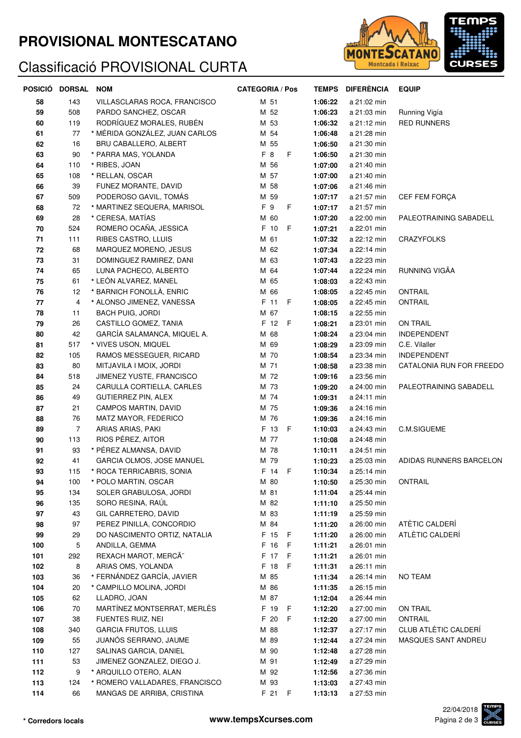## **PROVISIONAL MONTESCATANO**

# Classificació PROVISIONAL CURTA



|     | POSICIÓ DORSAL | <b>NOM</b>                     | <b>CATEGORIA / Pos</b> | <b>TEMPS</b> | <b>DIFERÈNCIA</b> | <b>EQUIP</b>             |
|-----|----------------|--------------------------------|------------------------|--------------|-------------------|--------------------------|
| 58  | 143            | VILLASCLARAS ROCA, FRANCISCO   | M 51                   | 1:06:22      | a 21:02 min       |                          |
| 59  | 508            | PARDO SANCHEZ, OSCAR           | M 52                   | 1:06:23      | a 21:03 min       | Running Vigía            |
| 60  | 119            | RODRÍGUEZ MORALES, RUBÉN       | M 53                   | 1:06:32      | a 21:12 min       | <b>RED RUNNERS</b>       |
| 61  | 77             | * MÉRIDA GONZÁLEZ, JUAN CARLOS | M 54                   | 1:06:48      | a 21:28 min       |                          |
| 62  | 16             | BRU CABALLERO, ALBERT          | M 55                   | 1:06:50      | a 21:30 min       |                          |
| 63  | 90             | * PARRA MAS, YOLANDA           | F 8<br>F               | 1:06:50      | a 21:30 min       |                          |
| 64  | 110            | * RIBES, JOAN                  | M 56                   | 1:07:00      | a 21:40 min       |                          |
| 65  | 108            | * RELLAN, OSCAR                | M 57                   | 1:07:00      | a 21:40 min       |                          |
| 66  | 39             | FUNEZ MORANTE, DAVID           | M 58                   | 1:07:06      | a 21:46 min       |                          |
| 67  | 509            | PODEROSO GAVIL, TOMÁS          | M 59                   | 1:07:17      | a 21:57 min       | CEF FEM FORÇA            |
| 68  | 72             | * MARTINEZ SEQUERA, MARISOL    | F 9<br>F.              | 1:07:17      | a 21:57 min       |                          |
| 69  | 28             | * CERESA, MATIAS               | M 60                   | 1:07:20      | a 22:00 min       | PALEOTRAINING SABADELL   |
| 70  | 524            | ROMERO OCAÑA, JESSICA          | F 10 F                 | 1:07:21      | a 22:01 min       |                          |
| 71  | 111            | RIBES CASTRO, LLUIS            | M 61                   | 1:07:32      | a 22:12 min       | <b>CRAZYFOLKS</b>        |
| 72  | 68             | MARQUEZ MORENO, JESUS          | M 62                   | 1:07:34      | a 22:14 min       |                          |
| 73  | 31             | DOMINGUEZ RAMIREZ, DANI        | M 63                   | 1:07:43      | a 22:23 min       |                          |
| 74  | 65             | LUNA PACHECO, ALBERTO          | M 64                   | 1:07:44      | a 22:24 min       | RUNNING VIGÃA            |
| 75  | 61             | * LEÓN ALVAREZ, MANEL          | M 65                   | 1:08:03      | a 22:43 min       |                          |
| 76  | 12             | * BARNICH FONOLLÀ, ENRIC       | M 66                   | 1:08:05      | a 22:45 min       | <b>ONTRAIL</b>           |
| 77  | 4              | * ALONSO JIMENEZ, VANESSA      | F 11 F                 | 1:08:05      | a 22:45 min       | <b>ONTRAIL</b>           |
| 78  | 11             | <b>BACH PUIG, JORDI</b>        | M 67                   | 1:08:15      | a 22:55 min       |                          |
| 79  | 26             | CASTILLO GOMEZ, TANIA          | F 12 F                 | 1:08:21      | a 23:01 min       | ON TRAIL                 |
| 80  | 42             | GARCÍA SALAMANCA, MIQUEL A.    | M 68                   | 1:08:24      | a 23:04 min       | <b>INDEPENDENT</b>       |
| 81  | 517            | * VIVES USON, MIQUEL           | M 69                   | 1:08:29      | a 23:09 min       | C.E. Vilaller            |
| 82  | 105            | RAMOS MESSEGUER, RICARD        | M 70                   | 1:08:54      | a 23:34 min       | <b>INDEPENDENT</b>       |
| 83  | 80             | MITJAVILA I MOIX, JORDI        | M 71                   | 1:08:58      | a 23:38 min       | CATALONIA RUN FOR FREEDO |
| 84  | 518            | JIMENEZ YUSTE, FRANCISCO       | M 72                   | 1:09:16      | a 23:56 min       |                          |
| 85  | 24             | CARULLA CORTIELLA, CARLES      | M 73                   | 1:09:20      | a 24:00 min       | PALEOTRAINING SABADELL   |
| 86  | 49             | GUTIERREZ PIN, ALEX            | M 74                   | 1:09:31      | a 24:11 min       |                          |
| 87  | 21             | CAMPOS MARTIN, DAVID           | M 75                   | 1:09:36      | a 24:16 min       |                          |
| 88  | 76             | MATZ MAYOR, FEDERICO           | M 76                   | 1:09:36      | a 24:16 min       |                          |
| 89  | $\overline{7}$ | ARIAS ARIAS, PAKI              | F 13 F                 | 1:10:03      | a 24:43 min       | C.M.SIGUEME              |
| 90  | 113            | RIOS PÉREZ, AITOR              | M 77                   | 1:10:08      | a 24:48 min       |                          |
| 91  | 93             | * PÉREZ ALMANSA, DAVID         | M 78                   | 1:10:11      | a 24:51 min       |                          |
| 92  | 41             | GARCIA OLMOS, JOSE MANUEL      | M 79                   | 1:10:23      | a 25:03 min       | ADIDAS RUNNERS BARCELON  |
| 93  | 115            | * ROCA TERRICABRIS, SONIA      | F 14 F                 | 1:10:34      | a 25:14 min       |                          |
| 94  | 100            | * POLO MARTIN, OSCAR           | M 80                   | 1:10:50      | a 25:30 min       | ONTRAIL                  |
| 95  | 134            | SOLER GRABULOSA, JORDI         | M 81                   | 1:11:04      | a 25:44 min       |                          |
| 96  | 135            | SORO RESINA, RAÚL              | M 82                   | 1:11:10      | a 25:50 min       |                          |
| 97  | 43             | GIL CARRETERO, DAVID           | M 83                   | 1:11:19      | a 25:59 min       |                          |
| 98  | 97             | PEREZ PINILLA, CONCORDIO       | M 84                   | 1:11:20      | a 26:00 min       | ATÈTIC CALDERI           |
| 99  | 29             | DO NASCIMENTO ORTIZ, NATALIA   | F 15 F                 | 1:11:20      | a 26:00 min       | ATLÈTIC CALDERÍ          |
| 100 | 5              | ANDILLA, GEMMA                 | F 16 F                 | 1:11:21      | a 26:01 min       |                          |
| 101 | 292            | REXACH MAROT, MERCA"           | F 17 F                 | 1:11:21      | a 26:01 min       |                          |
| 102 | 8              | ARIAS OMS, YOLANDA             | F 18 F                 | 1:11:31      | a 26:11 min       |                          |
| 103 | 36             | * FERNÁNDEZ GARCÍA, JAVIER     | M 85                   | 1:11:34      | a 26:14 min       | <b>NO TEAM</b>           |
| 104 | 20             | * CAMPILLO MOLINA, JORDI       | M 86                   | 1:11:35      | a 26:15 min       |                          |
| 105 | 62             | LLADRO, JOAN                   | M 87                   | 1:12:04      | a 26:44 min       |                          |
| 106 | 70             | MARTÍNEZ MONTSERRAT, MERLÈS    | F 19 F                 | 1:12:20      | a 27:00 min       | ON TRAIL                 |
| 107 | 38             | FUENTES RUIZ, NEI              | F 20<br>- F            | 1:12:20      | a 27:00 min       | <b>ONTRAIL</b>           |
| 108 | 340            | <b>GARCIA FRUTOS, LLUIS</b>    | M 88                   | 1:12:37      | a 27:17 min       | CLUB ATLÈTIC CALDERÍ     |
| 109 | 55             | JUANÓS SERRANO, JAUME          | M 89                   | 1:12:44      | a 27:24 min       | MASQUES SANT ANDREU      |
| 110 | 127            | SALINAS GARCIA, DANIEL         | M 90                   | 1:12:48      | a 27:28 min       |                          |
| 111 | 53             | JIMENEZ GONZALEZ, DIEGO J.     | M 91                   | 1:12:49      | a 27:29 min       |                          |
| 112 | 9              | * ARQUILLO OTERO, ALAN         | M 92                   | 1:12:56      | a 27:36 min       |                          |
| 113 | 124            | * ROMERO VALLADARES, FRANCISCO | M 93                   | 1:13:03      | a 27:43 min       |                          |
| 114 | 66             | MANGAS DE ARRIBA, CRISTINA     | F 21 F                 | 1:13:13      | a 27:53 min       |                          |